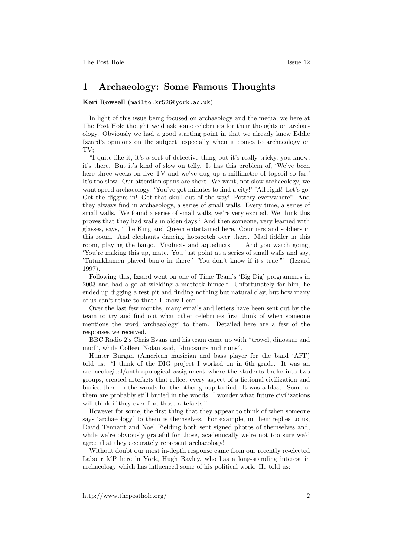## 1 Archaeology: Some Famous Thoughts

## Keri Rowsell (<mailto:kr526@york.ac.uk>)

In light of this issue being focused on archaeology and the media, we here at The Post Hole thought we'd ask some celebrities for their thoughts on archaeology. Obviously we had a good starting point in that we already knew Eddie Izzard's opinions on the subject, especially when it comes to archaeology on TV;

"I quite like it, it's a sort of detective thing but it's really tricky, you know, it's there. But it's kind of slow on telly. It has this problem of, 'We've been here three weeks on live TV and we've dug up a millimetre of topsoil so far.' It's too slow. Our attention spans are short. We want, not slow archaeology, we want speed archaeology. 'You've got minutes to find a city!' 'All right! Let's go! Get the diggers in! Get that skull out of the way! Pottery everywhere!' And they always find in archaeology, a series of small walls. Every time, a series of small walls. 'We found a series of small walls, we're very excited. We think this proves that they had walls in olden days.' And then someone, very learned with glasses, says, 'The King and Queen entertained here. Courtiers and soldiers in this room. And elephants dancing hopscotch over there. Mad fiddler in this room, playing the banjo. Viaducts and aqueducts...' And you watch going, 'You're making this up, mate. You just point at a series of small walls and say, 'Tutankhamen played banjo in there.' You don't know if it's true."' (Izzard 1997).

Following this, Izzard went on one of Time Team's 'Big Dig' programmes in 2003 and had a go at wielding a mattock himself. Unfortunately for him, he ended up digging a test pit and finding nothing but natural clay, but how many of us can't relate to that? I know I can.

Over the last few months, many emails and letters have been sent out by the team to try and find out what other celebrities first think of when someone mentions the word 'archaeology' to them. Detailed here are a few of the responses we received.

BBC Radio 2's Chris Evans and his team came up with "trowel, dinosaur and mud", while Colleen Nolan said, "dinosaurs and ruins".

Hunter Burgan (American musician and bass player for the band 'AFI') told us: "I think of the DIG project I worked on in 6th grade. It was an archaeological/anthropological assignment where the students broke into two groups, created artefacts that reflect every aspect of a fictional civilization and buried them in the woods for the other group to find. It was a blast. Some of them are probably still buried in the woods. I wonder what future civilizations will think if they ever find those artefacts."

However for some, the first thing that they appear to think of when someone says 'archaeology' to them is themselves. For example, in their replies to us, David Tennant and Noel Fielding both sent signed photos of themselves and, while we're obviously grateful for those, academically we're not too sure we'd agree that they accurately represent archaeology!

Without doubt our most in-depth response came from our recently re-elected Labour MP here in York, Hugh Bayley, who has a long-standing interest in archaeology which has influenced some of his political work. He told us: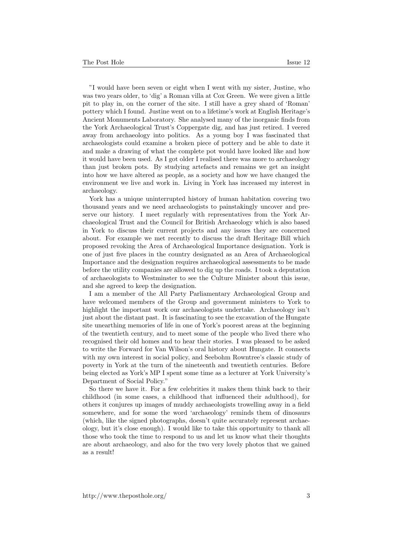"I would have been seven or eight when I went with my sister, Justine, who was two years older, to 'dig' a Roman villa at Cox Green. We were given a little pit to play in, on the corner of the site. I still have a grey shard of 'Roman' pottery which I found. Justine went on to a lifetime's work at English Heritage's Ancient Monuments Laboratory. She analysed many of the inorganic finds from the York Archaeological Trust's Coppergate dig, and has just retired. I veered away from archaeology into politics. As a young boy I was fascinated that archaeologists could examine a broken piece of pottery and be able to date it and make a drawing of what the complete pot would have looked like and how it would have been used. As I got older I realised there was more to archaeology than just broken pots. By studying artefacts and remains we get an insight into how we have altered as people, as a society and how we have changed the environment we live and work in. Living in York has increased my interest in archaeology.

York has a unique uninterrupted history of human habitation covering two thousand years and we need archaeologists to painstakingly uncover and preserve our history. I meet regularly with representatives from the York Archaeological Trust and the Council for British Archaeology which is also based in York to discuss their current projects and any issues they are concerned about. For example we met recently to discuss the draft Heritage Bill which proposed revoking the Area of Archaeological Importance designation. York is one of just five places in the country designated as an Area of Archaeological Importance and the designation requires archaeological assessments to be made before the utility companies are allowed to dig up the roads. I took a deputation of archaeologists to Westminster to see the Culture Minister about this issue, and she agreed to keep the designation.

I am a member of the All Party Parliamentary Archaeological Group and have welcomed members of the Group and government ministers to York to highlight the important work our archaeologists undertake. Archaeology isn't just about the distant past. It is fascinating to see the excavation of the Hungate site unearthing memories of life in one of York's poorest areas at the beginning of the twentieth century, and to meet some of the people who lived there who recognised their old homes and to hear their stories. I was pleased to be asked to write the Forward for Van Wilson's oral history about Hungate. It connects with my own interest in social policy, and Seebohm Rowntree's classic study of poverty in York at the turn of the nineteenth and twentieth centuries. Before being elected as York's MP I spent some time as a lecturer at York University's Department of Social Policy."

So there we have it. For a few celebrities it makes them think back to their childhood (in some cases, a childhood that influenced their adulthood), for others it conjures up images of muddy archaeologists trowelling away in a field somewhere, and for some the word 'archaeology' reminds them of dinosaurs (which, like the signed photographs, doesn't quite accurately represent archaeology, but it's close enough). I would like to take this opportunity to thank all those who took the time to respond to us and let us know what their thoughts are about archaeology, and also for the two very lovely photos that we gained as a result!